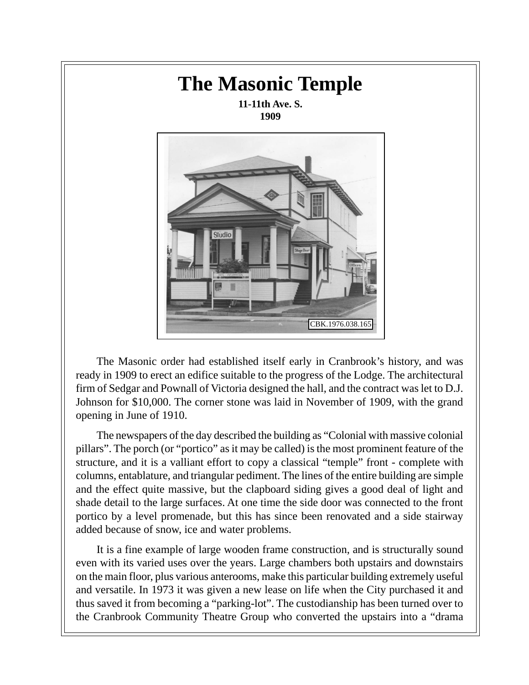

The Masonic order had established itself early in Cranbrook's history, and was ready in 1909 to erect an edifice suitable to the progress of the Lodge. The architectural firm of Sedgar and Pownall of Victoria designed the hall, and the contract was let to D.J. Johnson for \$10,000. The corner stone was laid in November of 1909, with the grand opening in June of 1910.

The newspapers of the day described the building as "Colonial with massive colonial pillars". The porch (or "portico" as it may be called) is the most prominent feature of the structure, and it is a valliant effort to copy a classical "temple" front - complete with columns, entablature, and triangular pediment. The lines of the entire building are simple and the effect quite massive, but the clapboard siding gives a good deal of light and shade detail to the large surfaces. At one time the side door was connected to the front portico by a level promenade, but this has since been renovated and a side stairway added because of snow, ice and water problems.

It is a fine example of large wooden frame construction, and is structurally sound even with its varied uses over the years. Large chambers both upstairs and downstairs on the main floor, plus various anterooms, make this particular building extremely useful and versatile. In 1973 it was given a new lease on life when the City purchased it and thus saved it from becoming a "parking-lot". The custodianship has been turned over to the Cranbrook Community Theatre Group who converted the upstairs into a "drama